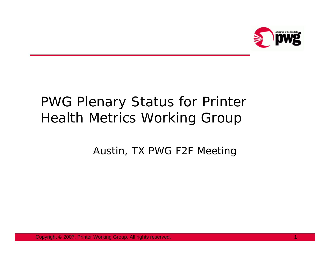

# PWG Plenary Status for Printer Health Metrics Working Group

Austin, TX PWG F2F Meeting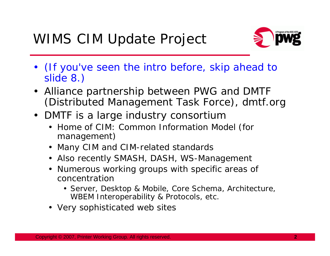

- (If you've seen the intro before, skip ahead to slide 8.)
- Alliance partnership between PWG and DMTF (Distributed Management Task Force), dmtf.org
- DMTF is a large industry consortium
	- Home of CIM: Common Information Model (for management)
	- Many CIM and CIM-related standards
	- Also recently SMASH, DASH, WS-Management
	- Numerous working groups with specific areas of concentration
		- Server, Desktop & Mobile, Core Schema, Architecture, WBEM Interoperability & Protocols, etc.
	- Very sophisticated web sites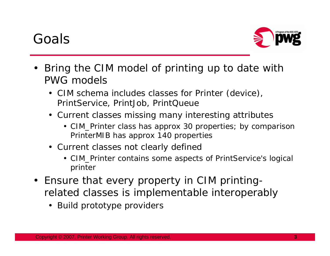### Goals



- • Bring the CIM model of printing up to date with PWG models
	- CIM schema includes classes for Printer (device), PrintService, PrintJob, PrintQueue
	- Current classes missing many interesting attributes
		- CIM\_Printer class has approx 30 properties; by comparison PrinterMIB has approx 140 properties
	- Current classes not clearly defined
		- CIM\_Printer contains some aspects of PrintService's logical printer
- Ensure that every property in CIM printingrelated classes is implementable interoperably
	- Build prototype providers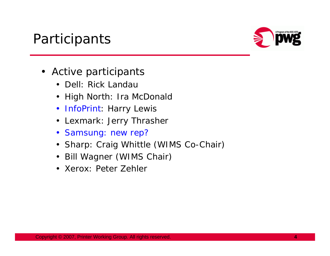#### **Participants**



- Active participants
	- Dell: Rick Landau
	- High North: Ira McDonald
	- InfoPrint: Harry Lewis
	- Lexmark: Jerry Thrasher
	- Samsung: new rep?
	- Sharp: Craig Whittle (WIMS Co-Chair)
	- Bill Wagner (WIMS Chair)
	- Xerox: Peter Zehler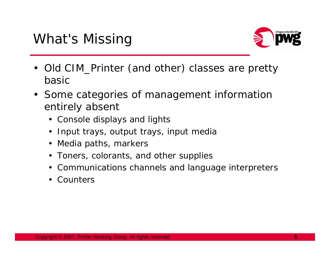

- Old CIM\_Printer (and other) classes are pretty basic
- Some categories of management information entirely absent
	- Console displays and lights
	- Input trays, output trays, input media
	- Media paths, markers
	- Toners, colorants, and other supplies
	- Communications channels and language interpreters
	- Counters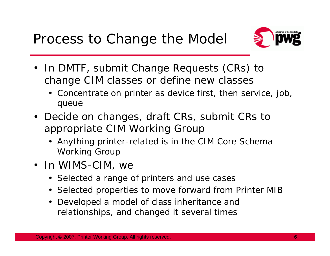

- In DMTF, submit Change Requests (CRs) to change CIM classes or define new classes
	- Concentrate on printer as device first, then service, job, queue
- Decide on changes, draft CRs, submit CRs to appropriate CIM Working Group
	- Anything printer-related is in the CIM Core Schema Working Group
- In WIMS-CIM, we
	- Selected a range of printers and use cases
	- Selected properties to move forward from Printer MIB
	- Developed a model of class inheritance and relationships, and changed it several times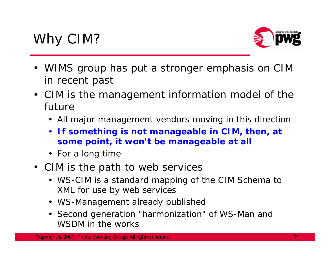

- WIMS group has put a stronger emphasis on CIM in recent past
- CIM is the management information model of the future
	- All major management vendors moving in this direction
	- **If something is not manageable in CIM, then, at some point, it won't be manageable at all**
	- For a long time
- CIM is the path to web services
	- WS-CIM is a standard mapping of the CIM Schema to XML for use by web services
	- WS-Management already publishec
	- Second generation "harmonization" of WS-Man and WSDM in the works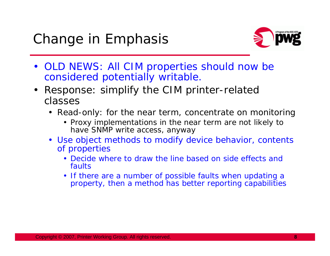

- OLD NEWS: All CIM properties should now be considered potentially writable.
- $\bullet$  Response: simplify the CIM printer-related classes
	- Read-only: for the near term, concentrate on monitoring
		- Proxy implementations in the near term are not likely to have SNMP write access, anyway
	- Use object methods to modify device behavior, contents of properties
		- Decide where to draw the line based on side effects and faults
		- If there are a number of possible faults when updating a property, then a method has better reporting capabilities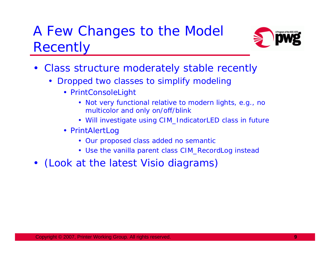# A Few Changes to the Model **Recently**



- $\bullet$  Class structure moderately stable recently
	- Dropped two classes to simplify modeling
		- PrintConsoleLight
			- Not very functional relative to modern lights, e.g., no multicolor and only on/off/blink
			- Will investigate using CIM\_IndicatorLED class in future
		- PrintAlertLog
			- Our proposed class added no semantic
			- Use the vanilla parent class CIM\_RecordLog instead
- (Look at the latest Visio diagrams)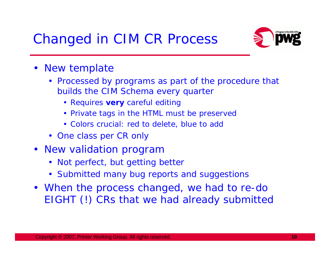## Changed in CIM CR Process



- New template
	- Processed by programs as part of the procedure that builds the CIM Schema every quarter
		- Requires **very** careful editing
		- Private tags in the HTML must be preserved
		- Colors crucial: red to delete, blue to add
	- One class per CR only
- New validation program
	- Not perfect, but getting better
	- Submitted many bug reports and suggestions
- When the process changed, we had to re-do EIGHT (!) CRs that we had already submitted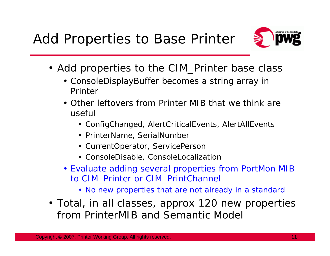

- Add properties to the CIM\_Printer base class
	- ConsoleDisplayBuffer becomes a string array in Printer
	- Other leftovers from Printer MIB that we think are useful
		- ConfigChanged, AlertCriticalEvents, AlertAllEvents
		- PrinterName, SerialNumber
		- CurrentOperator, ServicePerson
		- ConsoleDisable, ConsoleLocalization
	- Evaluate adding several properties from PortMon MIB to CIM\_Printer or CIM\_PrintChannel
		- No new properties that are not already in a standard
- Total, in all classes, approx 120 new properties from PrinterMIB and Semantic Model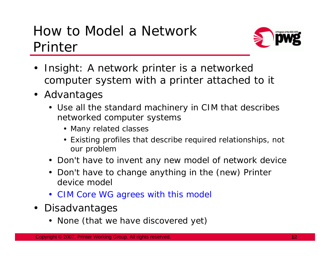## How to Model a Network Printer



- $\bullet$  Insight: A network printer is a networked computer system with a printer attached to it
- Advantages
	- Use all the standard machinery in CIM that describes networked computer systems
		- Many related classes
		- Existing profiles that describe required relationships, not our problem
	- Don't have to invent any new model of network device
	- Don't have to change anything in the (new) Printer device model
	- CIM Core WG agrees with this model
- $\bullet$  Disadvantages
	- None (that we have discovered yet)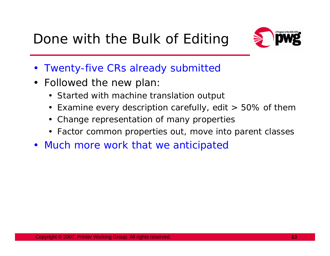

- Twenty-five CRs already submitted
- Followed the new plan:
	- Started with machine translation output
	- Examine every description carefully, edit > 50% of them
	- Change representation of many properties
	- Factor common properties out, move into parent classes
- Much more work that we anticipated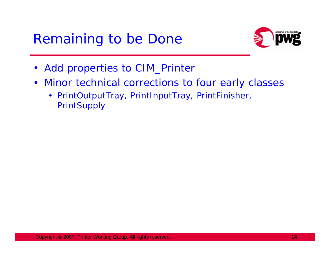#### Remaining to be Done



- Add properties to CIM\_Printer
- $\bullet$  Minor technical corrections to four early classes
	- PrintOutputTray, PrintInputTray, PrintFinisher, **PrintSupply**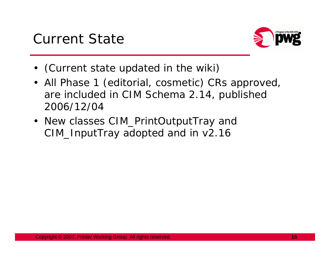

- (Current state updated in the wiki)
- All Phase 1 (editorial, cosmetic) CRs approved, are included in CIM Schema 2.14, published 2006/12/04
- New classes CIM\_PrintOutputTray and CIM\_InputTray adopted and in v2.16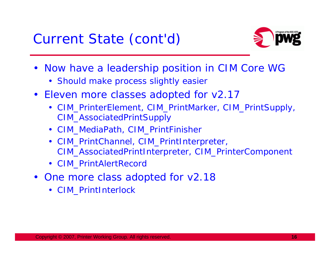

- Now have a leadership position in CIM Core WG
	- Should make process slightly easier
- Eleven more classes adopted for v2.17
	- CIM\_PrinterElement, CIM\_PrintMarker, CIM\_PrintSupply, CIM\_AssociatedPrintSupply
	- CIM\_MediaPath, CIM\_PrintFinisher
	- CIM\_PrintChannel, CIM\_PrintInterpreter, CIM\_AssociatedPrintInterpreter, CIM\_PrinterComponent
	- CIM\_PrintAlertRecord
- One more class adopted for v2.18
	- CIM\_PrintInterlock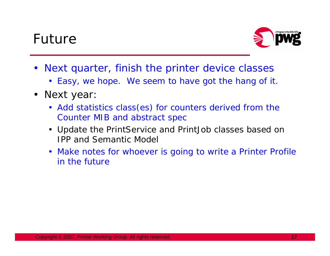#### Future



- Next quarter, finish the printer device classes
	- Easy, we hope. We seem to have got the hang of it.
- Next year:
	- Add statistics class(es) for counters derived from the Counter MIB and abstract spec
	- Update the PrintService and PrintJob classes based on IPP and Semantic Model
	- Make notes for whoever is going to write a Printer Profile in the future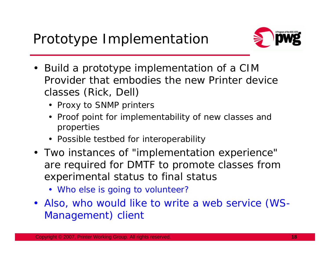

- Build a prototype implementation of a CIM Provider that embodies the new Printer device classes (Rick, Dell)
	- Proxy to SNMP printers
	- Proof point for implementability of new classes and properties
	- Possible testbed for interoperability
- Two instances of "implementation experience" are required for DMTF to promote classes from experimental status to final status
	- Who else is going to volunteer?
- Also, who would like to write a web service (WS-Management) client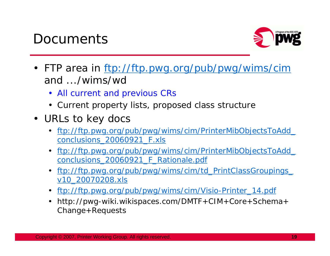#### **Documents**



- FTP area in ftp://ftp.pwg.org/pub/pwg/wims/cim and .../wims/wd
	- All current and previous CRs
	- Current property lists, proposed class structure
- URLs to key docs
	- ftp://ftp.pwg.org/pub/pwg/wims/cim/PrinterMibObjectsToAdd\_ conclusions\_20060921\_F.xls
	- ftp://ftp.pwg.org/pub/pwg/wims/cim/PrinterMibObjectsToAdd\_ conclusions\_20060921\_F\_Rationale.pdf
	- ftp://ftp.pwg.org/pub/pwg/wims/cim/td\_PrintClassGroupings\_ v10\_20070208.xls
	- ftp://ftp.pwg.org/pub/pwg/wims/cim/Visio-Printer\_14.pdf
	- http://pwg-wiki.wikispaces.com/DMTF+CIM+Core+Schema+ Change+Requests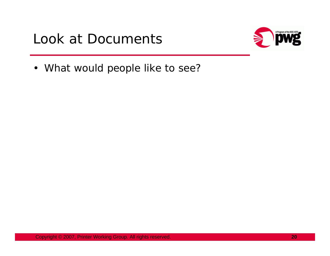### Look at Documents



• What would people like to see?